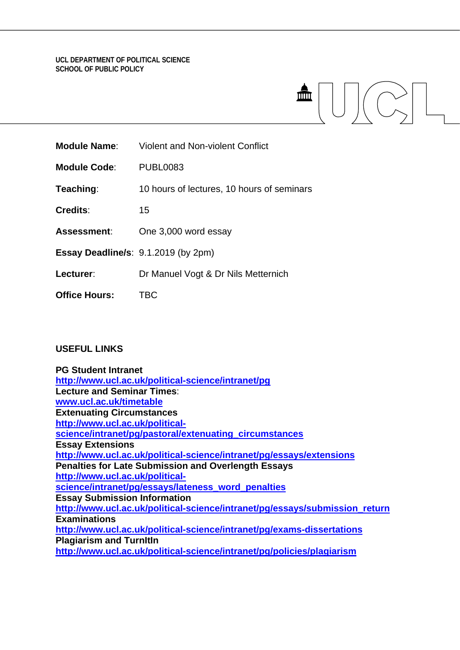# **UCL DEPARTMENT OF POLITICAL SCIENCE SCHOOL OF PUBLIC POLICY**

| <b>Module Name:</b>                 | <b>Violent and Non-violent Conflict</b>    |
|-------------------------------------|--------------------------------------------|
| <b>Module Code:</b>                 | <b>PUBL0083</b>                            |
| Teaching:                           | 10 hours of lectures, 10 hours of seminars |
| <b>Credits:</b>                     | 15                                         |
| Assessment:                         | One 3,000 word essay                       |
| Essay Deadline/s: 9.1.2019 (by 2pm) |                                            |
| Lecturer:                           | Dr Manuel Vogt & Dr Nils Metternich        |
| <b>Office Hours:</b>                | TBC                                        |

# **USEFUL LINKS**

| <b>PG Student Intranet</b>                                                  |
|-----------------------------------------------------------------------------|
| http://www.ucl.ac.uk/political-science/intranet/pg                          |
| <b>Lecture and Seminar Times:</b>                                           |
| www.ucl.ac.uk/timetable                                                     |
| <b>Extenuating Circumstances</b>                                            |
| http://www.ucl.ac.uk/political-                                             |
| science/intranet/pg/pastoral/extenuating_circumstances                      |
| <b>Essay Extensions</b>                                                     |
| http://www.ucl.ac.uk/political-science/intranet/pg/essays/extensions        |
| <b>Penalties for Late Submission and Overlength Essays</b>                  |
| http://www.ucl.ac.uk/political-                                             |
| science/intranet/pg/essays/lateness_word_penalties                          |
| <b>Essay Submission Information</b>                                         |
| http://www.ucl.ac.uk/political-science/intranet/pg/essays/submission_return |
| <b>Examinations</b>                                                         |
| http://www.ucl.ac.uk/political-science/intranet/pg/exams-dissertations      |
| <b>Plagiarism and Turnitin</b>                                              |
| http://www.ucl.ac.uk/political-science/intranet/pg/policies/plagiarism      |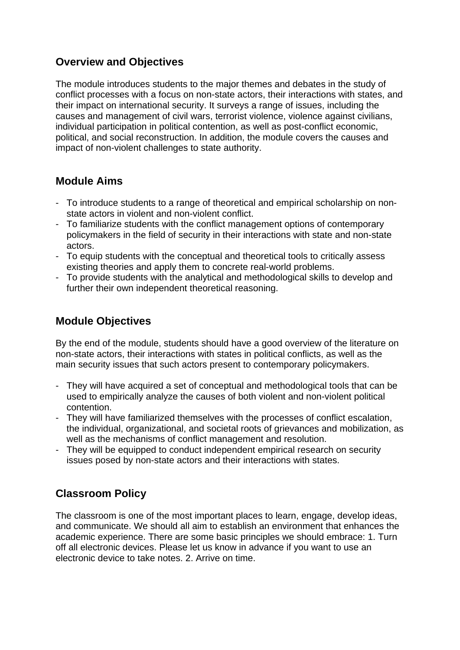# **Overview and Objectives**

The module introduces students to the major themes and debates in the study of conflict processes with a focus on non-state actors, their interactions with states, and their impact on international security. It surveys a range of issues, including the causes and management of civil wars, terrorist violence, violence against civilians, individual participation in political contention, as well as post-conflict economic, political, and social reconstruction. In addition, the module covers the causes and impact of non-violent challenges to state authority.

# **Module Aims**

- To introduce students to a range of theoretical and empirical scholarship on nonstate actors in violent and non-violent conflict.
- To familiarize students with the conflict management options of contemporary policymakers in the field of security in their interactions with state and non-state actors.
- To equip students with the conceptual and theoretical tools to critically assess existing theories and apply them to concrete real-world problems.
- To provide students with the analytical and methodological skills to develop and further their own independent theoretical reasoning.

# **Module Objectives**

By the end of the module, students should have a good overview of the literature on non-state actors, their interactions with states in political conflicts, as well as the main security issues that such actors present to contemporary policymakers.

- They will have acquired a set of conceptual and methodological tools that can be used to empirically analyze the causes of both violent and non-violent political contention.
- They will have familiarized themselves with the processes of conflict escalation, the individual, organizational, and societal roots of grievances and mobilization, as well as the mechanisms of conflict management and resolution.
- They will be equipped to conduct independent empirical research on security issues posed by non-state actors and their interactions with states.

# **Classroom Policy**

The classroom is one of the most important places to learn, engage, develop ideas, and communicate. We should all aim to establish an environment that enhances the academic experience. There are some basic principles we should embrace: 1. Turn off all electronic devices. Please let us know in advance if you want to use an electronic device to take notes. 2. Arrive on time.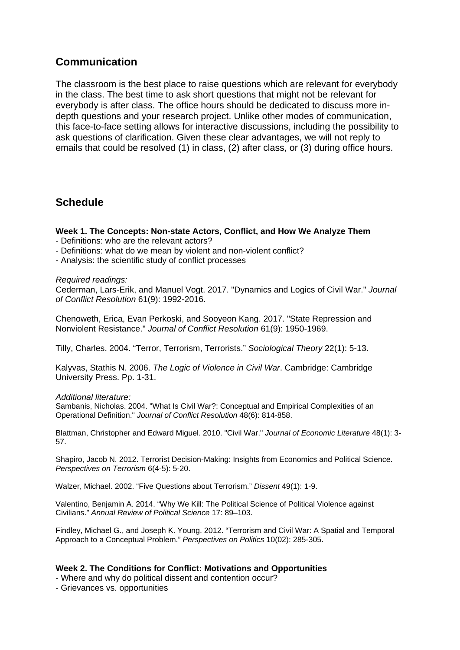# **Communication**

The classroom is the best place to raise questions which are relevant for everybody in the class. The best time to ask short questions that might not be relevant for everybody is after class. The office hours should be dedicated to discuss more indepth questions and your research project. Unlike other modes of communication, this face-to-face setting allows for interactive discussions, including the possibility to ask questions of clarification. Given these clear advantages, we will not reply to emails that could be resolved (1) in class, (2) after class, or (3) during office hours.

# **Schedule**

**Week 1. The Concepts: Non-state Actors, Conflict, and How We Analyze Them** - Definitions: who are the relevant actors?

- Definitions: what do we mean by violent and non-violent conflict?
- Analysis: the scientific study of conflict processes

### *Required readings:*

Cederman, Lars-Erik, and Manuel Vogt. 2017. "Dynamics and Logics of Civil War." *Journal of Conflict Resolution* 61(9): 1992-2016.

Chenoweth, Erica, Evan Perkoski, and Sooyeon Kang. 2017. "State Repression and Nonviolent Resistance." *Journal of Conflict Resolution* 61(9): 1950-1969.

Tilly, Charles. 2004. "Terror, Terrorism, Terrorists." *Sociological Theory* 22(1): 5-13.

Kalyvas, Stathis N. 2006. *The Logic of Violence in Civil War*. Cambridge: Cambridge University Press. Pp. 1-31.

# *Additional literature:*

Sambanis, Nicholas. 2004. "What Is Civil War?: Conceptual and Empirical Complexities of an Operational Definition." *Journal of Conflict Resolution* 48(6): 814-858.

Blattman, Christopher and Edward Miguel. 2010. "Civil War." *Journal of Economic Literature* 48(1): 3- 57.

Shapiro, Jacob N. 2012. Terrorist Decision-Making: Insights from Economics and Political Science. *Perspectives on Terrorism* 6(4-5): 5-20.

Walzer, Michael. 2002. "Five Questions about Terrorism." *Dissent* 49(1): 1-9.

Valentino, Benjamin A. 2014. "Why We Kill: The Political Science of Political Violence against Civilians." *Annual Review of Political Science* 17: 89–103.

Findley, Michael G., and Joseph K. Young. 2012. "Terrorism and Civil War: A Spatial and Temporal Approach to a Conceptual Problem." *Perspectives on Politics* 10(02): 285-305.

# **Week 2. The Conditions for Conflict: Motivations and Opportunities**

- Where and why do political dissent and contention occur?
- Grievances vs. opportunities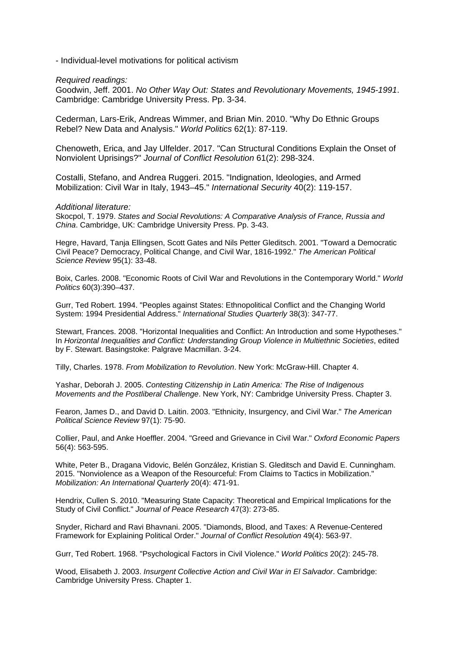- Individual-level motivations for political activism

*Required readings:*

Goodwin, Jeff. 2001. *No Other Way Out: States and Revolutionary Movements, 1945-1991*. Cambridge: Cambridge University Press. Pp. 3-34.

Cederman, Lars-Erik, Andreas Wimmer, and Brian Min. 2010. "Why Do Ethnic Groups Rebel? New Data and Analysis." *World Politics* 62(1): 87-119.

Chenoweth, Erica, and Jay Ulfelder. 2017. "Can Structural Conditions Explain the Onset of Nonviolent Uprisings?" *Journal of Conflict Resolution* 61(2): 298-324.

Costalli, Stefano, and Andrea Ruggeri. 2015. "Indignation, Ideologies, and Armed Mobilization: Civil War in Italy, 1943–45." *International Security* 40(2): 119-157.

#### *Additional literature:*

Skocpol, T. 1979. *States and Social Revolutions: A Comparative Analysis of France, Russia and China*. Cambridge, UK: Cambridge University Press. Pp. 3-43.

Hegre, Havard, Tanja Ellingsen, Scott Gates and Nils Petter Gleditsch. 2001. "Toward a Democratic Civil Peace? Democracy, Political Change, and Civil War, 1816-1992." *The American Political Science Review* 95(1): 33-48.

Boix, Carles. 2008. "Economic Roots of Civil War and Revolutions in the Contemporary World." *World Politics* 60(3):390–437.

Gurr, Ted Robert. 1994. "Peoples against States: Ethnopolitical Conflict and the Changing World System: 1994 Presidential Address." *International Studies Quarterly* 38(3): 347-77.

Stewart, Frances. 2008. "Horizontal Inequalities and Conflict: An Introduction and some Hypotheses." In *Horizontal Inequalities and Conflict: Understanding Group Violence in Multiethnic Societies*, edited by F. Stewart. Basingstoke: Palgrave Macmillan. 3-24.

Tilly, Charles. 1978. *From Mobilization to Revolution*. New York: McGraw-Hill. Chapter 4.

Yashar, Deborah J. 2005. *Contesting Citizenship in Latin America: The Rise of Indigenous Movements and the Postliberal Challenge*. New York, NY: Cambridge University Press. Chapter 3.

Fearon, James D., and David D. Laitin. 2003. "Ethnicity, Insurgency, and Civil War." *The American Political Science Review* 97(1): 75-90.

Collier, Paul, and Anke Hoeffler. 2004. "Greed and Grievance in Civil War." *Oxford Economic Papers* 56(4): 563-595.

White, Peter B., Dragana Vidovic, Belén González, Kristian S. Gleditsch and David E. Cunningham. 2015. "Nonviolence as a Weapon of the Resourceful: From Claims to Tactics in Mobilization." *Mobilization: An International Quarterly* 20(4): 471-91.

Hendrix, Cullen S. 2010. "Measuring State Capacity: Theoretical and Empirical Implications for the Study of Civil Conflict." *Journal of Peace Research* 47(3): 273-85.

Snyder, Richard and Ravi Bhavnani. 2005. "Diamonds, Blood, and Taxes: A Revenue-Centered Framework for Explaining Political Order." *Journal of Conflict Resolution* 49(4): 563-97.

Gurr, Ted Robert. 1968. "Psychological Factors in Civil Violence." *World Politics* 20(2): 245-78.

Wood, Elisabeth J. 2003. *Insurgent Collective Action and Civil War in El Salvador*. Cambridge: Cambridge University Press. Chapter 1.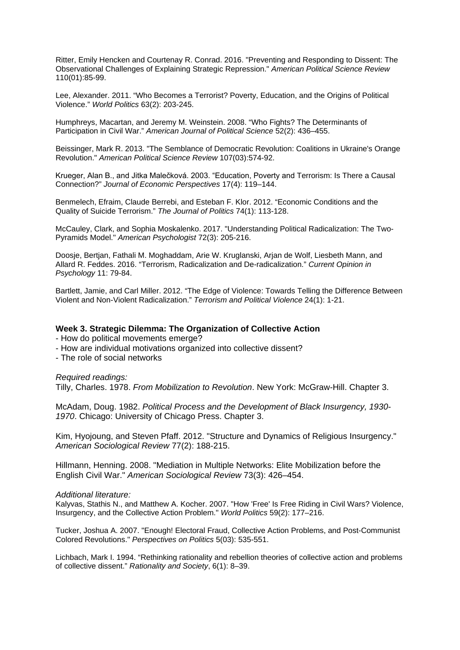Ritter, Emily Hencken and Courtenay R. Conrad. 2016. "Preventing and Responding to Dissent: The Observational Challenges of Explaining Strategic Repression." *American Political Science Review* 110(01):85-99.

Lee, Alexander. 2011. "Who Becomes a Terrorist? Poverty, Education, and the Origins of Political Violence." *World Politics* 63(2): 203-245.

Humphreys, Macartan, and Jeremy M. Weinstein. 2008. "Who Fights? The Determinants of Participation in Civil War." *American Journal of Political Science* 52(2): 436–455.

Beissinger, Mark R. 2013. "The Semblance of Democratic Revolution: Coalitions in Ukraine's Orange Revolution." *American Political Science Review* 107(03):574-92.

Krueger, Alan B., and Jitka Malečková. 2003. "Education, Poverty and Terrorism: Is There a Causal Connection?" *Journal of Economic Perspectives* 17(4): 119–144.

Benmelech, Efraim, Claude Berrebi, and Esteban F. Klor. 2012. "Economic Conditions and the Quality of Suicide Terrorism." *The Journal of Politics* 74(1): 113-128.

McCauley, Clark, and Sophia Moskalenko. 2017. "Understanding Political Radicalization: The Two-Pyramids Model." *American Psychologist* 72(3): 205-216.

Doosje, Bertjan, Fathali M. Moghaddam, Arie W. Kruglanski, Arjan de Wolf, Liesbeth Mann, and Allard R. Feddes. 2016. "Terrorism, Radicalization and De-radicalization." *Current Opinion in Psychology* 11: 79-84.

Bartlett, Jamie, and Carl Miller. 2012. "The Edge of Violence: Towards Telling the Difference Between Violent and Non-Violent Radicalization." *Terrorism and Political Violence* 24(1): 1-21.

## **Week 3. Strategic Dilemma: The Organization of Collective Action**

- How do political movements emerge?

- How are individual motivations organized into collective dissent?

- The role of social networks

*Required readings:*

Tilly, Charles. 1978. *From Mobilization to Revolution*. New York: McGraw-Hill. Chapter 3.

McAdam, Doug. 1982. *Political Process and the Development of Black Insurgency, 1930- 1970*. Chicago: University of Chicago Press. Chapter 3.

Kim, Hyojoung, and Steven Pfaff. 2012. "Structure and Dynamics of Religious Insurgency." *American Sociological Review* 77(2): 188-215.

Hillmann, Henning. 2008. "Mediation in Multiple Networks: Elite Mobilization before the English Civil War." *American Sociological Review* 73(3): 426–454.

#### *Additional literature:*

Kalyvas, Stathis N., and Matthew A. Kocher. 2007. "How 'Free' Is Free Riding in Civil Wars? Violence, Insurgency, and the Collective Action Problem." *World Politics* 59(2): 177–216.

Tucker, Joshua A. 2007. "Enough! Electoral Fraud, Collective Action Problems, and Post-Communist Colored Revolutions." *Perspectives on Politics* 5(03): 535-551.

Lichbach, Mark I. 1994. "Rethinking rationality and rebellion theories of collective action and problems of collective dissent." *Rationality and Society*, 6(1): 8–39.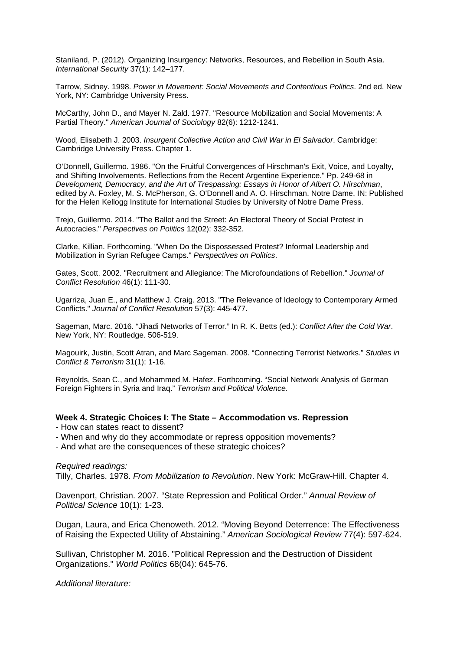Staniland, P. (2012). Organizing Insurgency: Networks, Resources, and Rebellion in South Asia. *International Security* 37(1): 142–177.

Tarrow, Sidney. 1998. *Power in Movement: Social Movements and Contentious Politics*. 2nd ed. New York, NY: Cambridge University Press.

McCarthy, John D., and Mayer N. Zald. 1977. "Resource Mobilization and Social Movements: A Partial Theory." *American Journal of Sociology* 82(6): 1212-1241.

Wood, Elisabeth J. 2003. *Insurgent Collective Action and Civil War in El Salvador*. Cambridge: Cambridge University Press. Chapter 1.

O'Donnell, Guillermo. 1986. "On the Fruitful Convergences of Hirschman's Exit, Voice, and Loyalty, and Shifting Involvements. Reflections from the Recent Argentine Experience." Pp. 249-68 in *Development, Democracy, and the Art of Trespassing: Essays in Honor of Albert O. Hirschman*, edited by A. Foxley, M. S. McPherson, G. O'Donnell and A. O. Hirschman. Notre Dame, IN: Published for the Helen Kellogg Institute for International Studies by University of Notre Dame Press.

Trejo, Guillermo. 2014. "The Ballot and the Street: An Electoral Theory of Social Protest in Autocracies." *Perspectives on Politics* 12(02): 332-352.

Clarke, Killian. Forthcoming. "When Do the Dispossessed Protest? Informal Leadership and Mobilization in Syrian Refugee Camps." *Perspectives on Politics*.

Gates, Scott. 2002. "Recruitment and Allegiance: The Microfoundations of Rebellion." *Journal of Conflict Resolution* 46(1): 111-30.

Ugarriza, Juan E., and Matthew J. Craig. 2013. "The Relevance of Ideology to Contemporary Armed Conflicts." *Journal of Conflict Resolution* 57(3): 445-477.

Sageman, Marc. 2016. "Jihadi Networks of Terror." In R. K. Betts (ed.): *Conflict After the Cold War*. New York, NY: Routledge. 506-519.

Magouirk, Justin, Scott Atran, and Marc Sageman. 2008. "Connecting Terrorist Networks." *Studies in Conflict & Terrorism* 31(1): 1-16.

Reynolds, Sean C., and Mohammed M. Hafez. Forthcoming. "Social Network Analysis of German Foreign Fighters in Syria and Iraq." *Terrorism and Political Violence*.

### **Week 4. Strategic Choices I: The State – Accommodation vs. Repression**

- How can states react to dissent?

- When and why do they accommodate or repress opposition movements?

- And what are the consequences of these strategic choices?

*Required readings:*

Tilly, Charles. 1978. *From Mobilization to Revolution*. New York: McGraw-Hill. Chapter 4.

Davenport, Christian. 2007. "State Repression and Political Order." *Annual Review of Political Science* 10(1): 1-23.

Dugan, Laura, and Erica Chenoweth. 2012. "Moving Beyond Deterrence: The Effectiveness of Raising the Expected Utility of Abstaining." *American Sociological Review* 77(4): 597-624.

Sullivan, Christopher M. 2016. "Political Repression and the Destruction of Dissident Organizations." *World Politics* 68(04): 645-76.

*Additional literature:*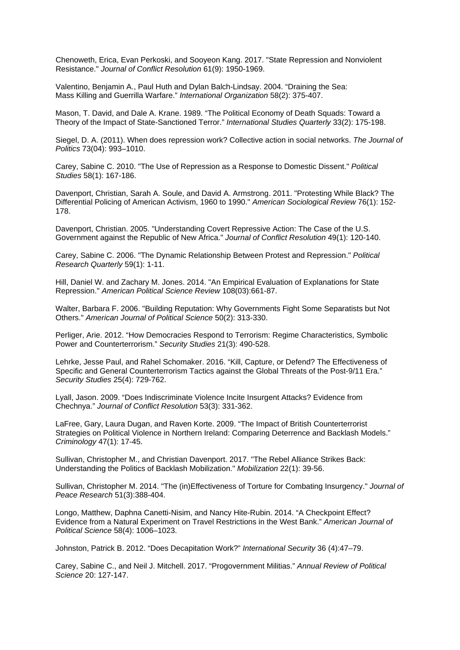Chenoweth, Erica, Evan Perkoski, and Sooyeon Kang. 2017. "State Repression and Nonviolent Resistance." *Journal of Conflict Resolution* 61(9): 1950-1969.

Valentino, Benjamin A., Paul Huth and Dylan Balch-Lindsay. 2004. "Draining the Sea: Mass Killing and Guerrilla Warfare." *International Organization* 58(2): 375-407.

Mason, T. David, and Dale A. Krane. 1989. "The Political Economy of Death Squads: Toward a Theory of the Impact of State-Sanctioned Terror." *International Studies Quarterly* 33(2): 175-198.

Siegel, D. A. (2011). When does repression work? Collective action in social networks. *The Journal of Politics* 73(04): 993–1010.

Carey, Sabine C. 2010. "The Use of Repression as a Response to Domestic Dissent." *Political Studies* 58(1): 167-186.

Davenport, Christian, Sarah A. Soule, and David A. Armstrong. 2011. "Protesting While Black? The Differential Policing of American Activism, 1960 to 1990." *American Sociological Review* 76(1): 152- 178.

Davenport, Christian. 2005. "Understanding Covert Repressive Action: The Case of the U.S. Government against the Republic of New Africa." *Journal of Conflict Resolution* 49(1): 120-140.

Carey, Sabine C. 2006. "The Dynamic Relationship Between Protest and Repression." *Political Research Quarterly* 59(1): 1-11.

Hill, Daniel W. and Zachary M. Jones. 2014. "An Empirical Evaluation of Explanations for State Repression." *American Political Science Review* 108(03):661-87.

Walter, Barbara F. 2006. "Building Reputation: Why Governments Fight Some Separatists but Not Others." *American Journal of Political Science* 50(2): 313-330.

Perliger, Arie. 2012. "How Democracies Respond to Terrorism: Regime Characteristics, Symbolic Power and Counterterrorism." *Security Studies* 21(3): 490-528.

Lehrke, Jesse Paul, and Rahel Schomaker. 2016. "Kill, Capture, or Defend? The Effectiveness of Specific and General Counterterrorism Tactics against the Global Threats of the Post-9/11 Era." *Security Studies* 25(4): 729-762.

Lyall, Jason. 2009. "Does Indiscriminate Violence Incite Insurgent Attacks? Evidence from Chechnya." *Journal of Conflict Resolution* 53(3): 331-362.

LaFree, Gary, Laura Dugan, and Raven Korte. 2009. "The Impact of British Counterterrorist Strategies on Political Violence in Northern Ireland: Comparing Deterrence and Backlash Models." *Criminology* 47(1): 17-45.

Sullivan, Christopher M., and Christian Davenport. 2017. "The Rebel Alliance Strikes Back: Understanding the Politics of Backlash Mobilization." *Mobilization* 22(1): 39-56.

Sullivan, Christopher M. 2014. "The (in)Effectiveness of Torture for Combating Insurgency." *Journal of Peace Research* 51(3):388-404.

Longo, Matthew, Daphna Canetti-Nisim, and Nancy Hite-Rubin. 2014. "A Checkpoint Effect? Evidence from a Natural Experiment on Travel Restrictions in the West Bank." *American Journal of Political Science* 58(4): 1006–1023.

Johnston, Patrick B. 2012. "Does Decapitation Work?" *International Security* 36 (4):47–79.

Carey, Sabine C., and Neil J. Mitchell. 2017. "Progovernment Militias." *Annual Review of Political Science* 20: 127-147.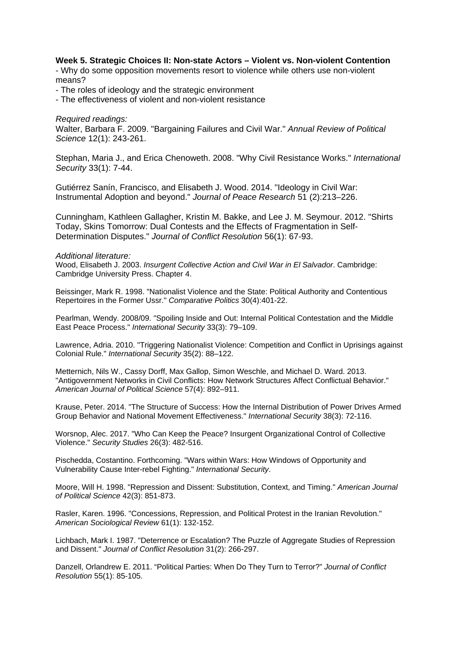## **Week 5. Strategic Choices II: Non-state Actors – Violent vs. Non-violent Contention**

- Why do some opposition movements resort to violence while others use non-violent means?

- The roles of ideology and the strategic environment

- The effectiveness of violent and non-violent resistance

#### *Required readings:*

Walter, Barbara F. 2009. "Bargaining Failures and Civil War." *Annual Review of Political Science* 12(1): 243-261.

Stephan, Maria J., and Erica Chenoweth. 2008. "Why Civil Resistance Works." *International Security* 33(1): 7-44.

Gutiérrez Sanín, Francisco, and Elisabeth J. Wood. 2014. "Ideology in Civil War: Instrumental Adoption and beyond." *Journal of Peace Research* 51 (2):213–226.

Cunningham, Kathleen Gallagher, Kristin M. Bakke, and Lee J. M. Seymour. 2012. "Shirts Today, Skins Tomorrow: Dual Contests and the Effects of Fragmentation in Self-Determination Disputes." *Journal of Conflict Resolution* 56(1): 67-93.

#### *Additional literature:*

Wood, Elisabeth J. 2003. *Insurgent Collective Action and Civil War in El Salvador*. Cambridge: Cambridge University Press. Chapter 4.

Beissinger, Mark R. 1998. "Nationalist Violence and the State: Political Authority and Contentious Repertoires in the Former Ussr." *Comparative Politics* 30(4):401-22.

Pearlman, Wendy. 2008/09. "Spoiling Inside and Out: Internal Political Contestation and the Middle East Peace Process." *International Security* 33(3): 79–109.

Lawrence, Adria. 2010. "Triggering Nationalist Violence: Competition and Conflict in Uprisings against Colonial Rule." *International Security* 35(2): 88–122.

Metternich, Nils W., Cassy Dorff, Max Gallop, Simon Weschle, and Michael D. Ward. 2013. "Antigovernment Networks in Civil Conflicts: How Network Structures Affect Conflictual Behavior." *American Journal of Political Science* 57(4): 892–911.

Krause, Peter. 2014. "The Structure of Success: How the Internal Distribution of Power Drives Armed Group Behavior and National Movement Effectiveness." *International Security* 38(3): 72-116.

Worsnop, Alec. 2017. "Who Can Keep the Peace? Insurgent Organizational Control of Collective Violence." *Security Studies* 26(3): 482-516.

Pischedda, Costantino. Forthcoming. "Wars within Wars: How Windows of Opportunity and Vulnerability Cause Inter-rebel Fighting." *International Security*.

Moore, Will H. 1998. "Repression and Dissent: Substitution, Context, and Timing." *American Journal of Political Science* 42(3): 851-873.

Rasler, Karen. 1996. "Concessions, Repression, and Political Protest in the Iranian Revolution." *American Sociological Review* 61(1): 132-152.

Lichbach, Mark I. 1987. "Deterrence or Escalation? The Puzzle of Aggregate Studies of Repression and Dissent." *Journal of Conflict Resolution* 31(2): 266-297.

Danzell, Orlandrew E. 2011. "Political Parties: When Do They Turn to Terror?" *Journal of Conflict Resolution* 55(1): 85-105.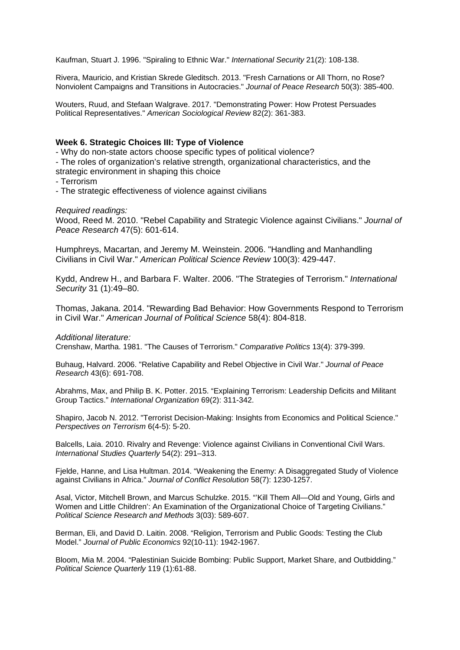Kaufman, Stuart J. 1996. "Spiraling to Ethnic War." *International Security* 21(2): 108-138.

Rivera, Mauricio, and Kristian Skrede Gleditsch. 2013. "Fresh Carnations or All Thorn, no Rose? Nonviolent Campaigns and Transitions in Autocracies." *Journal of Peace Research* 50(3): 385-400.

Wouters, Ruud, and Stefaan Walgrave. 2017. "Demonstrating Power: How Protest Persuades Political Representatives." *American Sociological Review* 82(2): 361-383.

# **Week 6. Strategic Choices III: Type of Violence**

- Why do non-state actors choose specific types of political violence?

- The roles of organization's relative strength, organizational characteristics, and the strategic environment in shaping this choice

- Terrorism
- The strategic effectiveness of violence against civilians

### *Required readings:*

Wood, Reed M. 2010. "Rebel Capability and Strategic Violence against Civilians." *Journal of Peace Research* 47(5): 601-614.

Humphreys, Macartan, and Jeremy M. Weinstein. 2006. "Handling and Manhandling Civilians in Civil War." *American Political Science Review* 100(3): 429-447.

Kydd, Andrew H., and Barbara F. Walter. 2006. "The Strategies of Terrorism." *International Security* 31 (1):49–80.

Thomas, Jakana. 2014. "Rewarding Bad Behavior: How Governments Respond to Terrorism in Civil War." *American Journal of Political Science* 58(4): 804-818.

#### *Additional literature:*

Crenshaw, Martha. 1981. "The Causes of Terrorism." *Comparative Politics* 13(4): 379-399.

Buhaug, Halvard. 2006. "Relative Capability and Rebel Objective in Civil War." *Journal of Peace Research* 43(6): 691-708.

Abrahms, Max, and Philip B. K. Potter. 2015. "Explaining Terrorism: Leadership Deficits and Militant Group Tactics." *International Organization* 69(2): 311-342.

Shapiro, Jacob N. 2012. "Terrorist Decision-Making: Insights from Economics and Political Science." *Perspectives on Terrorism* 6(4-5): 5-20.

Balcells, Laia. 2010. Rivalry and Revenge: Violence against Civilians in Conventional Civil Wars. *International Studies Quarterly* 54(2): 291–313.

Fjelde, Hanne, and Lisa Hultman. 2014. "Weakening the Enemy: A Disaggregated Study of Violence against Civilians in Africa." *Journal of Conflict Resolution* 58(7): 1230-1257.

Asal, Victor, Mitchell Brown, and Marcus Schulzke. 2015. "'Kill Them All—Old and Young, Girls and Women and Little Children': An Examination of the Organizational Choice of Targeting Civilians." *Political Science Research and Methods* 3(03): 589-607.

Berman, Eli, and David D. Laitin. 2008. "Religion, Terrorism and Public Goods: Testing the Club Model." *Journal of Public Economics* 92(10-11): 1942-1967.

Bloom, Mia M. 2004. "Palestinian Suicide Bombing: Public Support, Market Share, and Outbidding." *Political Science Quarterly* 119 (1):61-88.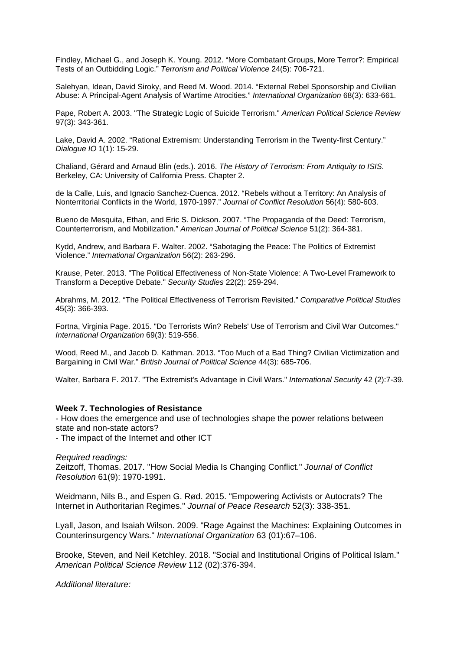Findley, Michael G., and Joseph K. Young. 2012. "More Combatant Groups, More Terror?: Empirical Tests of an Outbidding Logic." *Terrorism and Political Violence* 24(5): 706-721.

Salehyan, Idean, David Siroky, and Reed M. Wood. 2014. "External Rebel Sponsorship and Civilian Abuse: A Principal-Agent Analysis of Wartime Atrocities." *International Organization* 68(3): 633-661.

Pape, Robert A. 2003. "The Strategic Logic of Suicide Terrorism." *American Political Science Review* 97(3): 343-361.

Lake, David A. 2002. "Rational Extremism: Understanding Terrorism in the Twenty-first Century." *Dialogue IO* 1(1): 15-29.

Chaliand, Gérard and Arnaud Blin (eds.). 2016. *The History of Terrorism: From Antiquity to ISIS*. Berkeley, CA: University of California Press. Chapter 2.

de la Calle, Luis, and Ignacio Sanchez-Cuenca. 2012. "Rebels without a Territory: An Analysis of Nonterritorial Conflicts in the World, 1970-1997." *Journal of Conflict Resolution* 56(4): 580-603.

Bueno de Mesquita, Ethan, and Eric S. Dickson. 2007. "The Propaganda of the Deed: Terrorism, Counterterrorism, and Mobilization." *American Journal of Political Science* 51(2): 364-381.

Kydd, Andrew, and Barbara F. Walter. 2002. "Sabotaging the Peace: The Politics of Extremist Violence." *International Organization* 56(2): 263-296.

Krause, Peter. 2013. "The Political Effectiveness of Non-State Violence: A Two-Level Framework to Transform a Deceptive Debate." *Security Studies* 22(2): 259-294.

Abrahms, M. 2012. "The Political Effectiveness of Terrorism Revisited." *Comparative Political Studies* 45(3): 366-393.

Fortna, Virginia Page. 2015. "Do Terrorists Win? Rebels' Use of Terrorism and Civil War Outcomes." *International Organization* 69(3): 519-556.

Wood, Reed M., and Jacob D. Kathman. 2013. "Too Much of a Bad Thing? Civilian Victimization and Bargaining in Civil War." *British Journal of Political Science* 44(3): 685-706.

Walter, Barbara F. 2017. "The Extremist's Advantage in Civil Wars." *International Security* 42 (2):7-39.

#### **Week 7. Technologies of Resistance**

- How does the emergence and use of technologies shape the power relations between state and non-state actors?

- The impact of the Internet and other ICT

*Required readings:*

Zeitzoff, Thomas. 2017. "How Social Media Is Changing Conflict." *Journal of Conflict Resolution* 61(9): 1970-1991.

Weidmann, Nils B., and Espen G. Rød. 2015. "Empowering Activists or Autocrats? The Internet in Authoritarian Regimes." *Journal of Peace Research* 52(3): 338-351.

Lyall, Jason, and Isaiah Wilson. 2009. "Rage Against the Machines: Explaining Outcomes in Counterinsurgency Wars." *International Organization* 63 (01):67–106.

Brooke, Steven, and Neil Ketchley. 2018. "Social and Institutional Origins of Political Islam." *American Political Science Review* 112 (02):376-394.

*Additional literature:*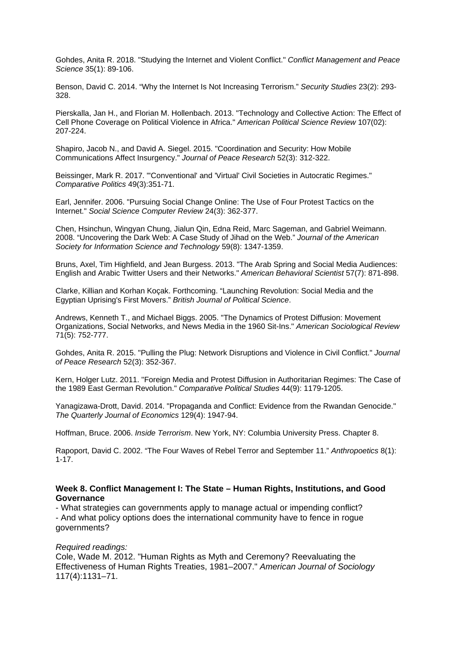Gohdes, Anita R. 2018. "Studying the Internet and Violent Conflict." *Conflict Management and Peace Science* 35(1): 89-106.

Benson, David C. 2014. "Why the Internet Is Not Increasing Terrorism." *Security Studies* 23(2): 293- 328.

Pierskalla, Jan H., and Florian M. Hollenbach. 2013. "Technology and Collective Action: The Effect of Cell Phone Coverage on Political Violence in Africa." *American Political Science Review* 107(02): 207-224.

Shapiro, Jacob N., and David A. Siegel. 2015. "Coordination and Security: How Mobile Communications Affect Insurgency." *Journal of Peace Research* 52(3): 312-322.

Beissinger, Mark R. 2017. "'Conventional' and 'Virtual' Civil Societies in Autocratic Regimes." *Comparative Politics* 49(3):351-71.

Earl, Jennifer. 2006. "Pursuing Social Change Online: The Use of Four Protest Tactics on the Internet." *Social Science Computer Review* 24(3): 362-377.

Chen, Hsinchun, Wingyan Chung, Jialun Qin, Edna Reid, Marc Sageman, and Gabriel Weimann. 2008. "Uncovering the Dark Web: A Case Study of Jihad on the Web." *Journal of the American Society for Information Science and Technology* 59(8): 1347-1359.

Bruns, Axel, Tim Highfield, and Jean Burgess. 2013. "The Arab Spring and Social Media Audiences: English and Arabic Twitter Users and their Networks." *American Behavioral Scientist* 57(7): 871-898.

Clarke, Killian and Korhan Koçak. Forthcoming. "Launching Revolution: Social Media and the Egyptian Uprising's First Movers." *British Journal of Political Science*.

Andrews, Kenneth T., and Michael Biggs. 2005. "The Dynamics of Protest Diffusion: Movement Organizations, Social Networks, and News Media in the 1960 Sit-Ins." *American Sociological Review* 71(5): 752-777.

Gohdes, Anita R. 2015. "Pulling the Plug: Network Disruptions and Violence in Civil Conflict." *Journal of Peace Research* 52(3): 352-367.

Kern, Holger Lutz. 2011. "Foreign Media and Protest Diffusion in Authoritarian Regimes: The Case of the 1989 East German Revolution." *Comparative Political Studies* 44(9): 1179-1205.

Yanagizawa-Drott, David. 2014. "Propaganda and Conflict: Evidence from the Rwandan Genocide." *The Quarterly Journal of Economics* 129(4): 1947-94.

Hoffman, Bruce. 2006. *Inside Terrorism*. New York, NY: Columbia University Press. Chapter 8.

Rapoport, David C. 2002. "The Four Waves of Rebel Terror and September 11." *Anthropoetics* 8(1): 1-17.

## **Week 8. Conflict Management I: The State – Human Rights, Institutions, and Good Governance**

- What strategies can governments apply to manage actual or impending conflict? - And what policy options does the international community have to fence in rogue governments?

#### *Required readings:*

Cole, Wade M. 2012. "Human Rights as Myth and Ceremony? Reevaluating the Effectiveness of Human Rights Treaties, 1981–2007." *American Journal of Sociology* 117(4):1131–71.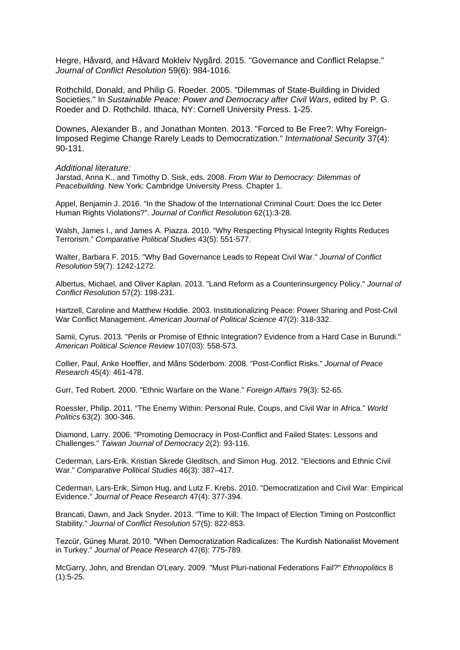Hegre, Håvard, and Håvard Mokleiv Nygård. 2015. "Governance and Conflict Relapse." *Journal of Conflict Resolution* 59(6): 984-1016.

Rothchild, Donald, and Philip G. Roeder. 2005. "Dilemmas of State-Building in Divided Societies." In *Sustainable Peace: Power and Democracy after Civil Wars*, edited by P. G. Roeder and D. Rothchild. Ithaca, NY: Cornell University Press. 1-25.

Downes, Alexander B., and Jonathan Monten. 2013. "Forced to Be Free?: Why Foreign-Imposed Regime Change Rarely Leads to Democratization." *International Security* 37(4): 90-131.

#### *Additional literature:*

Jarstad, Anna K., and Timothy D. Sisk, eds. 2008. *From War to Democracy: Dilemmas of Peacebuilding*. New York: Cambridge University Press. Chapter 1.

Appel, Benjamin J. 2016. "In the Shadow of the International Criminal Court: Does the Icc Deter Human Rights Violations?". *Journal of Conflict Resolution* 62(1):3-28.

Walsh, James I., and James A. Piazza. 2010. "Why Respecting Physical Integrity Rights Reduces Terrorism." *Comparative Political Studies* 43(5): 551-577.

Walter, Barbara F. 2015. "Why Bad Governance Leads to Repeat Civil War." *Journal of Conflict Resolution* 59(7): 1242-1272.

Albertus, Michael, and Oliver Kaplan. 2013. "Land Reform as a Counterinsurgency Policy." *Journal of Conflict Resolution* 57(2): 198-231.

Hartzell, Caroline and Matthew Hoddie. 2003. Institutionalizing Peace: Power Sharing and Post-Civil War Conflict Management. *American Journal of Political Science* 47(2): 318-332.

Samii, Cyrus. 2013. "Perils or Promise of Ethnic Integration? Evidence from a Hard Case in Burundi." *American Political Science Review* 107(03): 558-573.

Collier, Paul, Anke Hoeffler, and Måns Söderbom. 2008. "Post-Conflict Risks." *Journal of Peace Research* 45(4): 461-478.

Gurr, Ted Robert. 2000. "Ethnic Warfare on the Wane." *Foreign Affairs* 79(3): 52-65.

Roessler, Philip. 2011. "The Enemy Within: Personal Rule, Coups, and Civil War in Africa." *World Politics* 63(2): 300-346.

Diamond, Larry. 2006. "Promoting Democracy in Post-Conflict and Failed States: Lessons and Challenges." *Taiwan Journal of Democracy* 2(2): 93-116.

Cederman, Lars-Erik, Kristian Skrede Gleditsch, and Simon Hug. 2012. "Elections and Ethnic Civil War." *Comparative Political Studies* 46(3): 387–417.

Cederman, Lars-Erik, Simon Hug, and Lutz F. Krebs. 2010. "Democratization and Civil War: Empirical Evidence." *Journal of Peace Research* 47(4): 377-394.

Brancati, Dawn, and Jack Snyder. 2013. "Time to Kill: The Impact of Election Timing on Postconflict Stability." *Journal of Conflict Resolution* 57(5): 822-853.

Tezcür, Güneş Murat. 2010. "When Democratization Radicalizes: The Kurdish Nationalist Movement in Turkey." *Journal of Peace Research* 47(6): 775-789.

McGarry, John, and Brendan O'Leary. 2009. "Must Pluri-national Federations Fail?" *Ethnopolitics* 8 (1):5-25.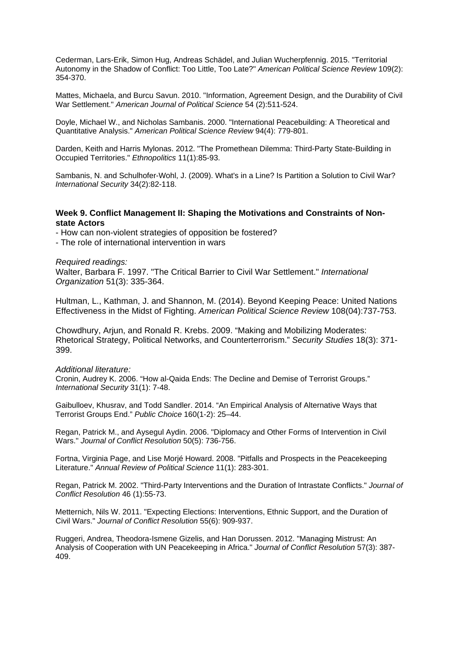Cederman, Lars-Erik, Simon Hug, Andreas Schädel, and Julian Wucherpfennig. 2015. "Territorial Autonomy in the Shadow of Conflict: Too Little, Too Late?" *American Political Science Review* 109(2): 354-370.

Mattes, Michaela, and Burcu Savun. 2010. "Information, Agreement Design, and the Durability of Civil War Settlement." *American Journal of Political Science* 54 (2):511-524.

Doyle, Michael W., and Nicholas Sambanis. 2000. "International Peacebuilding: A Theoretical and Quantitative Analysis." *American Political Science Review* 94(4): 779-801.

Darden, Keith and Harris Mylonas. 2012. "The Promethean Dilemma: Third-Party State-Building in Occupied Territories." *Ethnopolitics* 11(1):85-93.

Sambanis, N. and Schulhofer-Wohl, J. (2009). What's in a Line? Is Partition a Solution to Civil War? *International Security* 34(2):82-118.

## **Week 9. Conflict Management II: Shaping the Motivations and Constraints of Nonstate Actors**

- How can non-violent strategies of opposition be fostered?

- The role of international intervention in wars

*Required readings:*

Walter, Barbara F. 1997. "The Critical Barrier to Civil War Settlement." *International Organization* 51(3): 335-364.

Hultman, L., Kathman, J. and Shannon, M. (2014). Beyond Keeping Peace: United Nations Effectiveness in the Midst of Fighting. *American Political Science Review* 108(04):737-753.

Chowdhury, Arjun, and Ronald R. Krebs. 2009. "Making and Mobilizing Moderates: Rhetorical Strategy, Political Networks, and Counterterrorism." *Security Studies* 18(3): 371- 399.

*Additional literature:*

Cronin, Audrey K. 2006. "How al-Qaida Ends: The Decline and Demise of Terrorist Groups." *International Security* 31(1): 7-48.

Gaibulloev, Khusrav, and Todd Sandler. 2014. "An Empirical Analysis of Alternative Ways that Terrorist Groups End." *Public Choice* 160(1-2): 25–44.

Regan, Patrick M., and Aysegul Aydin. 2006. "Diplomacy and Other Forms of Intervention in Civil Wars." *Journal of Conflict Resolution* 50(5): 736-756.

Fortna, Virginia Page, and Lise Morjé Howard. 2008. "Pitfalls and Prospects in the Peacekeeping Literature." *Annual Review of Political Science* 11(1): 283-301.

Regan, Patrick M. 2002. "Third-Party Interventions and the Duration of Intrastate Conflicts." *Journal of Conflict Resolution* 46 (1):55-73.

Metternich, Nils W. 2011. "Expecting Elections: Interventions, Ethnic Support, and the Duration of Civil Wars." *Journal of Conflict Resolution* 55(6): 909-937.

Ruggeri, Andrea, Theodora-Ismene Gizelis, and Han Dorussen. 2012. "Managing Mistrust: An Analysis of Cooperation with UN Peacekeeping in Africa." *Journal of Conflict Resolution* 57(3): 387- 409.